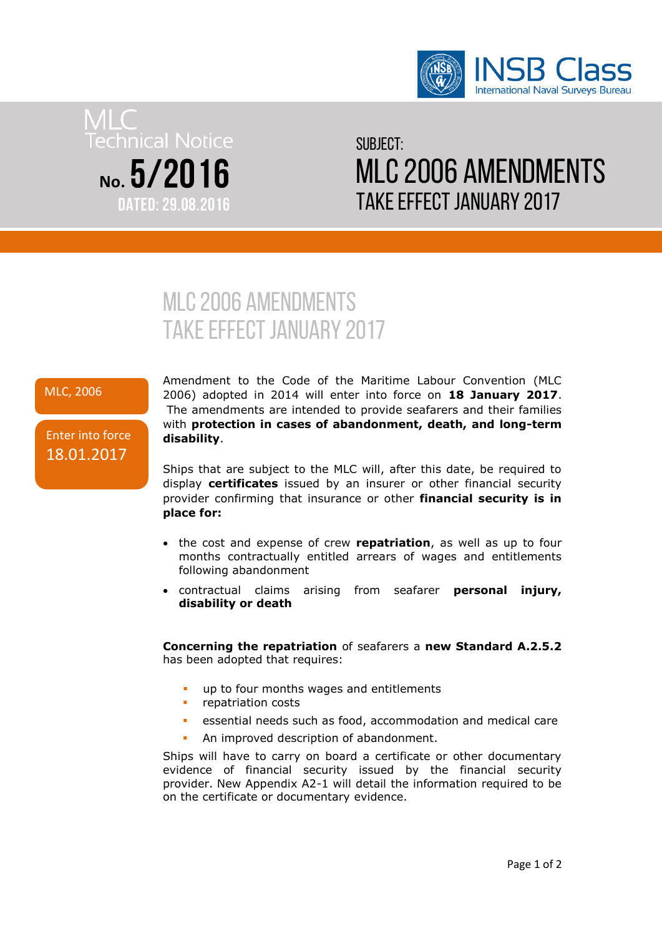

# **Technical Notice** No.  $5/2016$ **DATED: 29.08.2016**

# $SIIRIFC T<sup>1</sup>$ MLC 2006 amendments take effect January 2017

# MLC 2006 amendments take effect January 2017

# MLC, 2006

# Enter into force 18.01.2017

Amendment to the Code of the Maritime Labour Convention (MLC 2006) adopted in 2014 will enter into force on **18 January 2017**. The amendments are intended to provide seafarers and their families with **protection in cases of abandonment, death, and long-term disability**.

Ships that are subject to the MLC will, after this date, be required to display **certificates** issued by an insurer or other financial security provider confirming that insurance or other **financial security is in place for:**

- the cost and expense of crew **repatriation**, as well as up to four months contractually entitled arrears of wages and entitlements following abandonment
- contractual claims arising from seafarer **personal injury, disability or death**

**Concerning the repatriation** of seafarers a **new Standard A.2.5.2** has been adopted that requires:

- **up to four months wages and entitlements**
- repatriation costs
- essential needs such as food, accommodation and medical care
- An improved description of abandonment.

Ships will have to carry on board a certificate or other documentary evidence of financial security issued by the financial security provider. New Appendix A2-1 will detail the information required to be on the certificate or documentary evidence.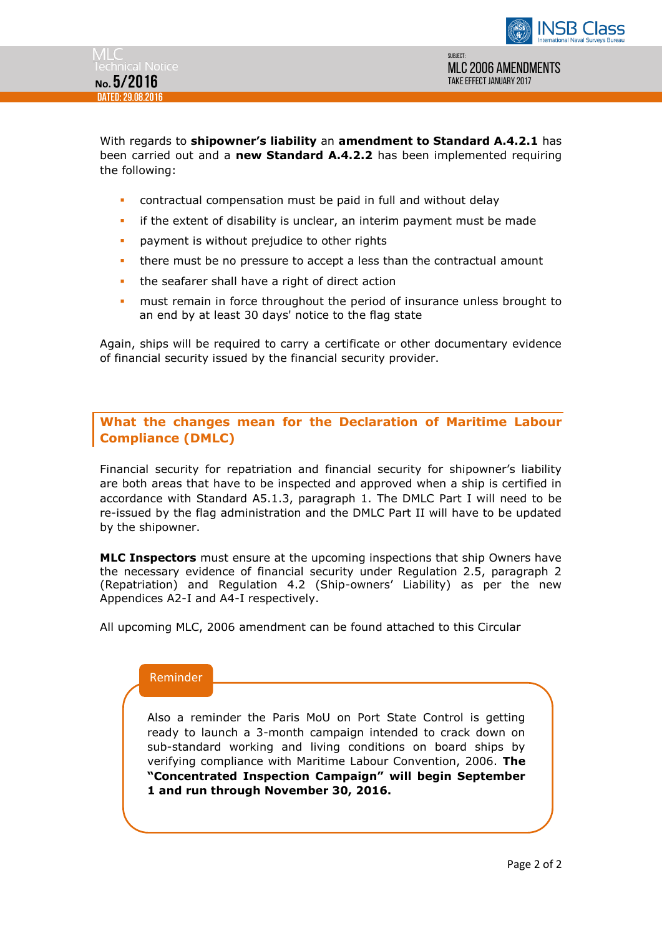

With regards to **shipowner's liability** an **amendment to Standard A.4.2.1** has been carried out and a **new Standard A.4.2.2** has been implemented requiring the following:

- contractual compensation must be paid in full and without delay
- **F** if the extent of disability is unclear, an interim payment must be made
- **•** payment is without prejudice to other rights
- there must be no pressure to accept a less than the contractual amount
- the seafarer shall have a right of direct action
- must remain in force throughout the period of insurance unless brought to an end by at least 30 days' notice to the flag state

Again, ships will be required to carry a certificate or other documentary evidence of financial security issued by the financial security provider.

**What the changes mean for the Declaration of Maritime Labour Compliance (DMLC)**

Financial security for repatriation and financial security for shipowner's liability are both areas that have to be inspected and approved when a ship is certified in accordance with Standard A5.1.3, paragraph 1. The DMLC Part I will need to be re-issued by the flag administration and the DMLC Part II will have to be updated by the shipowner.

**MLC Inspectors** must ensure at the upcoming inspections that ship Owners have the necessary evidence of financial security under Regulation 2.5, paragraph 2 (Repatriation) and Regulation 4.2 (Ship-owners' Liability) as per the new Appendices A2-I and A4-I respectively.

All upcoming MLC, 2006 amendment can be found attached to this Circular

# Reminder

Also a reminder the Paris MoU on Port State Control is getting ready to launch a 3-month campaign intended to crack down on sub-standard working and living conditions on board ships by verifying compliance with Maritime Labour Convention, 2006. **The "Concentrated Inspection Campaign" will begin September 1 and run through November 30, 2016.**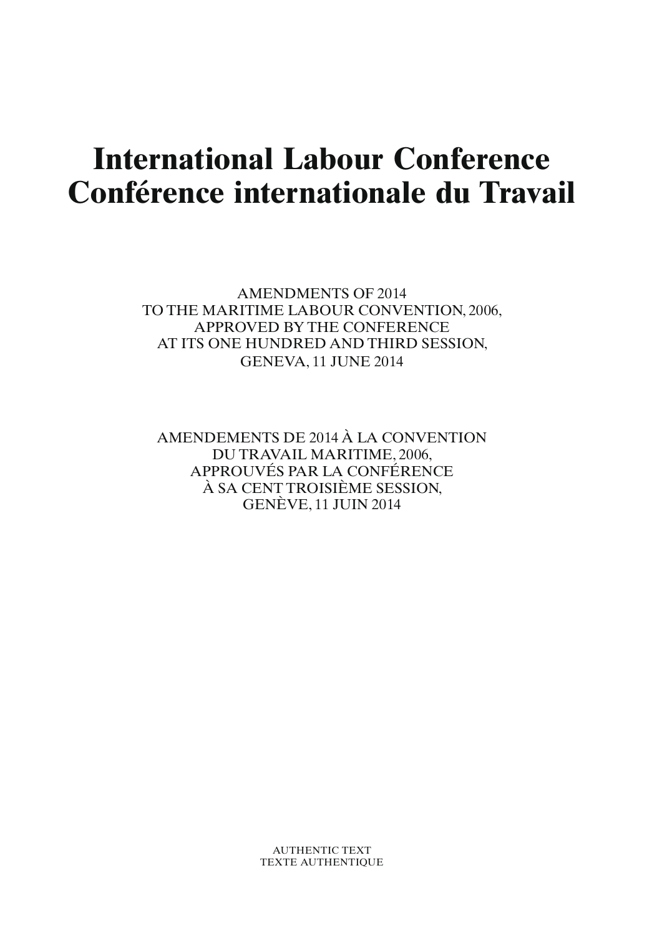# **International Labour Conference Conférence internationale du Travail**

AMENDMENTS OF 2014 TO THE MARITIME LABOUR CONVENTION, 2006, APPROVED BY THE CONFERENCE AT ITS ONE HUNDRED AND THIRD SESSION, GENEVA, 11 JUNE 2014

AMENDEMENTS DE 2014 À LA CONVENTION DU TRAVAIL MARITIME, 2006, APPROUVÉS PAR LA CONFÉRENCE À SA CENT TROISIÈME SESSION, GENÈVE, 11 JUIN 2014

> AUTHENTIC TEXT TEXTE AUTHENTIQUE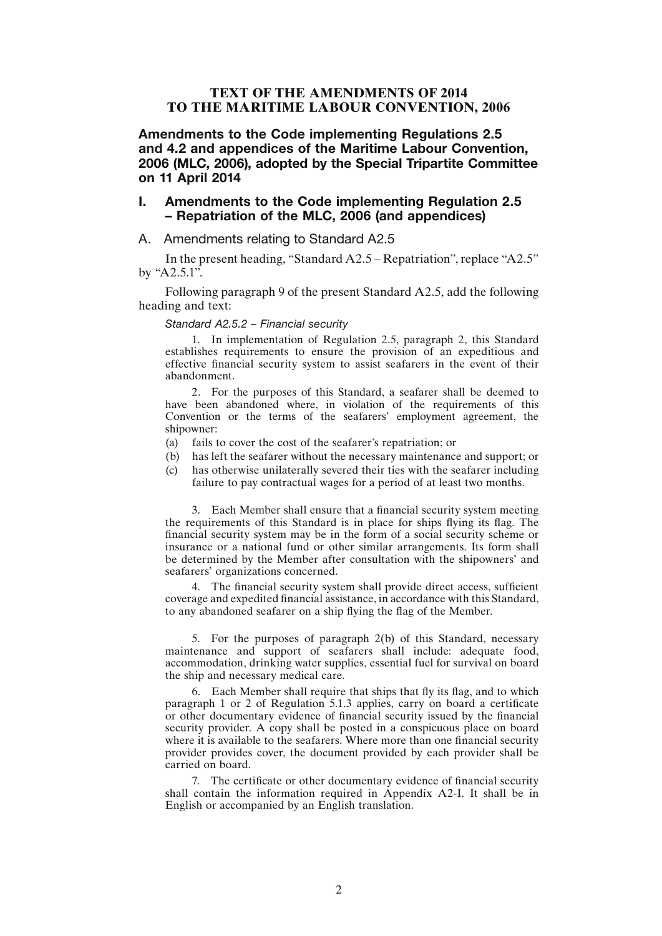# **TEXT OF THE AMENDMENTS OF 2014 TO THE MARITIME LABOUR CONVENTION, 2006**

Amendments to the Code implementing Regulations 2.5 and 4.2 and appendices of the Maritime Labour Convention, 2006 (MLC, 2006), adopted by the Special Tripartite Committee on 11 April 2014

# I. Amendments to the Code implementing Regulation 2.5 – Repatriation of the MLC, 2006 (and appendices)

A. Amendments relating to Standard A2.5

In the present heading, "Standard A2.5 – Repatriation", replace "A2.5" by "A2.5.1".

Following paragraph 9 of the present Standard A2.5, add the following heading and text:

#### *Standard A2.5.2 – Financial security*

1. In implementation of Regulation 2.5, paragraph 2, this Standard establishes requirements to ensure the provision of an expeditious and effective financial security system to assist seafarers in the event of their abandonment.

2. For the purposes of this Standard, a seafarer shall be deemed to have been abandoned where, in violation of the requirements of this Convention or the terms of the seafarers' employment agreement, the shipowner:

- (a) fails to cover the cost of the seafarer's repatriation; or
- (b) has left the seafarer without the necessary maintenance and support; or
- (c) has otherwise unilaterally severed their ties with the seafarer including failure to pay contractual wages for a period of at least two months.

3. Each Member shall ensure that a financial security system meeting the requirements of this Standard is in place for ships flying its flag. The financial security system may be in the form of a social security scheme or insurance or a national fund or other similar arrangements. Its form shall be determined by the Member after consultation with the shipowners' and seafarers' organizations concerned.

4. The financial security system shall provide direct access, sufficient coverage and expedited financial assistance, in accordance with this Standard, to any abandoned seafarer on a ship flying the flag of the Member.

5. For the purposes of paragraph 2(b) of this Standard, necessary maintenance and support of seafarers shall include: adequate food, accommodation, drinking water supplies, essential fuel for survival on board the ship and necessary medical care.

6. Each Member shall require that ships that fly its flag, and to which paragraph 1 or 2 of Regulation 5.1.3 applies, carry on board a certificate or other documentary evidence of financial security issued by the financial security provider. A copy shall be posted in a conspicuous place on board where it is available to the seafarers. Where more than one financial security provider provides cover, the document provided by each provider shall be carried on board.

7. The certificate or other documentary evidence of financial security shall contain the information required in Appendix A2-I. It shall be in English or accompanied by an English translation.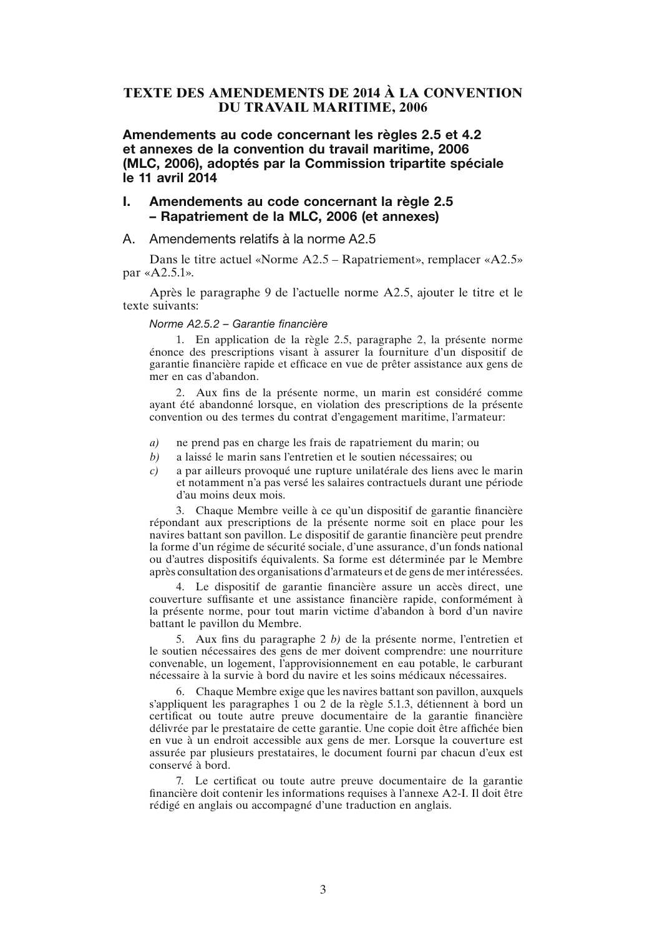# **TEXTE DES AMENDEMENTS DE 2014 À LA CONVENTION DU TRAVAIL MARITIME, 2006**

Amendements au code concernant les règles 2.5 et 4.2 et annexes de la convention du travail maritime, 2006 (MLC, 2006), adoptés par la Commission tripartite spéciale le 11 avril 2014

# I. Amendements au code concernant la règle 2.5 – Rapatriement de la MLC, 2006 (et annexes)

#### A. Amendements relatifs à la norme A2.5

Dans le titre actuel «Norme A2.5 – Rapatriement», remplacer «A2.5» par «A2.5.1».

Après le paragraphe 9 de l'actuelle norme A2.5, ajouter le titre et le texte suivants:

#### *Norme A2.5.2 – Garantie financière*

1. En application de la règle 2.5, paragraphe 2, la présente norme énonce des prescriptions visant à assurer la fourniture d'un dispositif de garantie financière rapide et efficace en vue de prêter assistance aux gens de mer en cas d'abandon.

2. Aux fins de la présente norme, un marin est considéré comme ayant été abandonné lorsque, en violation des prescriptions de la présente convention ou des termes du contrat d'engagement maritime, l'armateur:

- *a)* ne prend pas en charge les frais de rapatriement du marin; ou
- *b)* a laissé le marin sans l'entretien et le soutien nécessaires; ou
- *c)* a par ailleurs provoqué une rupture unilatérale des liens avec le marin et notamment n'a pas versé les salaires contractuels durant une période d'au moins deux mois.

3. Chaque Membre veille à ce qu'un dispositif de garantie financière répondant aux prescriptions de la présente norme soit en place pour les navires battant son pavillon. Le dispositif de garantie financière peut prendre la forme d'un régime de sécurité sociale, d'une assurance, d'un fonds national ou d'autres dispositifs équivalents. Sa forme est déterminée par le Membre après consultation des organisations d'armateurs et de gens de mer intéressées.

4. Le dispositif de garantie financière assure un accès direct, une couverture suffisante et une assistance financière rapide, conformément à la présente norme, pour tout marin victime d'abandon à bord d'un navire battant le pavillon du Membre.

5. Aux fins du paragraphe 2 *b)* de la présente norme, l'entretien et le soutien nécessaires des gens de mer doivent comprendre: une nourriture convenable, un logement, l'approvisionnement en eau potable, le carburant nécessaire à la survie à bord du navire et les soins médicaux nécessaires.

6. Chaque Membre exige que les navires battant son pavillon, auxquels s'appliquent les paragraphes 1 ou 2 de la règle 5.1.3, détiennent à bord un certificat ou toute autre preuve documentaire de la garantie financière délivrée par le prestataire de cette garantie. Une copie doit être affichée bien en vue à un endroit accessible aux gens de mer. Lorsque la couverture est assurée par plusieurs prestataires, le document fourni par chacun d'eux est conservé à bord.

7. Le certificat ou toute autre preuve documentaire de la garantie financière doit contenir les informations requises à l'annexe A2-I. Il doit être rédigé en anglais ou accompagné d'une traduction en anglais.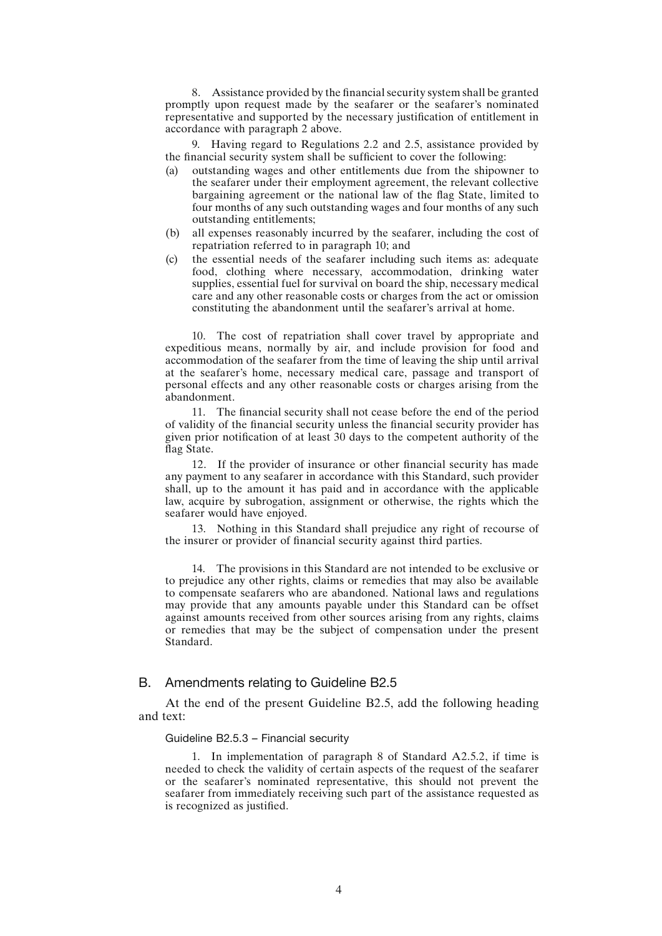8. Assistance provided by the financial security system shall be granted promptly upon request made by the seafarer or the seafarer's nominated representative and supported by the necessary justification of entitlement in accordance with paragraph 2 above.

9. Having regard to Regulations 2.2 and 2.5, assistance provided by the financial security system shall be sufficient to cover the following:

- (a) outstanding wages and other entitlements due from the shipowner to the seafarer under their employment agreement, the relevant collective bargaining agreement or the national law of the flag State, limited to four months of any such outstanding wages and four months of any such outstanding entitlements;
- (b) all expenses reasonably incurred by the seafarer, including the cost of repatriation referred to in paragraph 10; and
- (c) the essential needs of the seafarer including such items as: adequate food, clothing where necessary, accommodation, drinking water supplies, essential fuel for survival on board the ship, necessary medical care and any other reasonable costs or charges from the act or omission constituting the abandonment until the seafarer's arrival at home.

10. The cost of repatriation shall cover travel by appropriate and expeditious means, normally by air, and include provision for food and accommodation of the seafarer from the time of leaving the ship until arrival at the seafarer's home, necessary medical care, passage and transport of personal effects and any other reasonable costs or charges arising from the abandonment.

11. The financial security shall not cease before the end of the period of validity of the financial security unless the financial security provider has given prior notification of at least 30 days to the competent authority of the flag State.

12. If the provider of insurance or other financial security has made any payment to any seafarer in accordance with this Standard, such provider shall, up to the amount it has paid and in accordance with the applicable law, acquire by subrogation, assignment or otherwise, the rights which the seafarer would have enjoyed.

13. Nothing in this Standard shall prejudice any right of recourse of the insurer or provider of financial security against third parties.

14. The provisions in this Standard are not intended to be exclusive or to prejudice any other rights, claims or remedies that may also be available to compensate seafarers who are abandoned. National laws and regulations may provide that any amounts payable under this Standard can be offset against amounts received from other sources arising from any rights, claims or remedies that may be the subject of compensation under the present Standard.

#### B. Amendments relating to Guideline B2.5

At the end of the present Guideline B2.5, add the following heading and text:

#### Guideline B2.5.3 – Financial security

1. In implementation of paragraph 8 of Standard A2.5.2, if time is needed to check the validity of certain aspects of the request of the seafarer or the seafarer's nominated representative, this should not prevent the seafarer from immediately receiving such part of the assistance requested as is recognized as justified.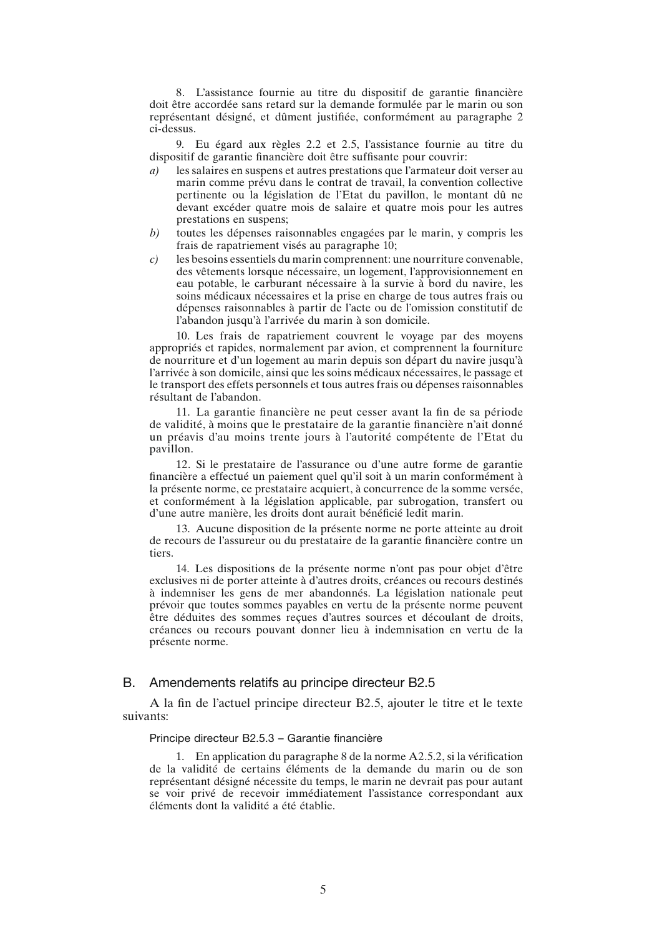8. L'assistance fournie au titre du dispositif de garantie financière doit être accordée sans retard sur la demande formulée par le marin ou son représentant désigné, et dûment justifiée, conformément au paragraphe 2 ci-dessus.

9. Eu égard aux règles 2.2 et 2.5, l'assistance fournie au titre du dispositif de garantie financière doit être suffisante pour couvrir:

- *a)* les salaires en suspens et autres prestations que l'armateur doit verser au marin comme prévu dans le contrat de travail, la convention collective pertinente ou la législation de l'Etat du pavillon, le montant dû ne devant excéder quatre mois de salaire et quatre mois pour les autres prestations en suspens;
- *b)* toutes les dépenses raisonnables engagées par le marin, y compris les frais de rapatriement visés au paragraphe 10;
- *c)* les besoins essentiels du marin comprennent: une nourriture convenable, des vêtements lorsque nécessaire, un logement, l'approvisionnement en eau potable, le carburant nécessaire à la survie à bord du navire, les soins médicaux nécessaires et la prise en charge de tous autres frais ou dépenses raisonnables à partir de l'acte ou de l'omission constitutif de l'abandon jusqu'à l'arrivée du marin à son domicile.

10. Les frais de rapatriement couvrent le voyage par des moyens appropriés et rapides, normalement par avion, et comprennent la fourniture de nourriture et d'un logement au marin depuis son départ du navire jusqu'à l'arrivée à son domicile, ainsi que les soins médicaux nécessaires, le passage et le transport des effets personnels et tous autres frais ou dépenses raisonnables résultant de l'abandon.

11. La garantie financière ne peut cesser avant la fin de sa période de validité, à moins que le prestataire de la garantie financière n'ait donné un préavis d'au moins trente jours à l'autorité compétente de l'Etat du pavillon.

12. Si le prestataire de l'assurance ou d'une autre forme de garantie financière a effectué un paiement quel qu'il soit à un marin conformément à la présente norme, ce prestataire acquiert, à concurrence de la somme versée, et conformément à la législation applicable, par subrogation, transfert ou d'une autre manière, les droits dont aurait bénéficié ledit marin.

13. Aucune disposition de la présente norme ne porte atteinte au droit de recours de l'assureur ou du prestataire de la garantie financière contre un tiers.

14. Les dispositions de la présente norme n'ont pas pour objet d'être exclusives ni de porter atteinte à d'autres droits, créances ou recours destinés à indemniser les gens de mer abandonnés. La législation nationale peut prévoir que toutes sommes payables en vertu de la présente norme peuvent être déduites des sommes reçues d'autres sources et découlant de droits, créances ou recours pouvant donner lieu à indemnisation en vertu de la présente norme.

#### B. Amendements relatifs au principe directeur B2.5

A la fin de l'actuel principe directeur B2.5, ajouter le titre et le texte suivants:

# Principe directeur B2.5.3 – Garantie financière

1. En application du paragraphe 8 de la norme A2.5.2, si la vérification de la validité de certains éléments de la demande du marin ou de son représentant désigné nécessite du temps, le marin ne devrait pas pour autant se voir privé de recevoir immédiatement l'assistance correspondant aux éléments dont la validité a été établie.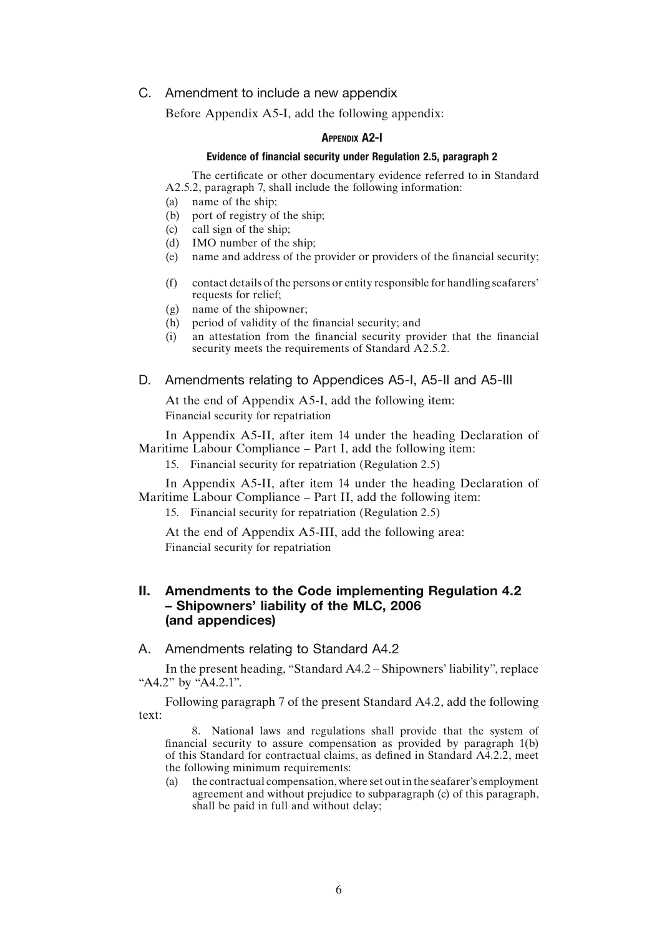## C. Amendment to include a new appendix

Before Appendix A5-I, add the following appendix:

#### Appendix A2-I

### Evidence of financial security under Regulation 2.5, paragraph 2

The certificate or other documentary evidence referred to in Standard A2.5.2, paragraph 7, shall include the following information:

- (a) name of the ship;
- (b) port of registry of the ship;
- (c) call sign of the ship;
- (d) IMO number of the ship;
- (e) name and address of the provider or providers of the financial security;
- (f) contact details of the persons or entity responsible for handling seafarers' requests for relief;
- (g) name of the shipowner;
- (h) period of validity of the financial security; and
- (i) an attestation from the financial security provider that the financial security meets the requirements of Standard A2.5.2.
- D. Amendments relating to Appendices A5-I, A5-II and A5-III

At the end of Appendix A5-I, add the following item: Financial security for repatriation

In Appendix A5-II, after item 14 under the heading Declaration of Maritime Labour Compliance – Part I, add the following item:

15. Financial security for repatriation (Regulation 2.5)

In Appendix A5-II, after item 14 under the heading Declaration of Maritime Labour Compliance – Part II, add the following item:

15. Financial security for repatriation (Regulation 2.5)

At the end of Appendix A5-III, add the following area: Financial security for repatriation

# II. Amendments to the Code implementing Regulation 4.2 – Shipowners' liability of the MLC, 2006 (and appendices)

A. Amendments relating to Standard A4.2

In the present heading, "Standard A4.2 – Shipowners' liability", replace "A4.2" by "A4.2.1".

Following paragraph 7 of the present Standard A4.2, add the following text:

8. National laws and regulations shall provide that the system of financial security to assure compensation as provided by paragraph 1(b) of this Standard for contractual claims, as defined in Standard A4.2.2, meet the following minimum requirements:

(a) the contractual compensation, where set out in the seafarer's employment agreement and without prejudice to subparagraph (c) of this paragraph, shall be paid in full and without delay;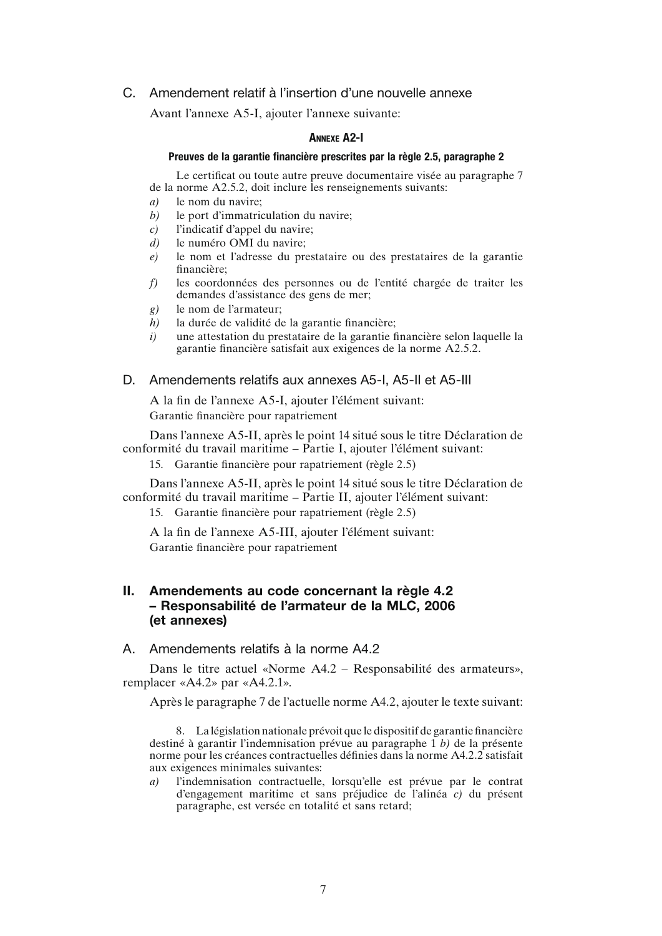# C. Amendement relatif à l'insertion d'une nouvelle annexe

Avant l'annexe A5-I, ajouter l'annexe suivante:

#### Annexe A2-I

#### Preuves de la garantie financière prescrites par la règle 2.5, paragraphe 2

Le certificat ou toute autre preuve documentaire visée au paragraphe 7 de la norme A2.5.2, doit inclure les renseignements suivants:

- *a)* le nom du navire;
- *b)* le port d'immatriculation du navire;
- *c)* l'indicatif d'appel du navire;
- *d)* le numéro OMI du navire;
- *e)* le nom et l'adresse du prestataire ou des prestataires de la garantie financière;
- *f)* les coordonnées des personnes ou de l'entité chargée de traiter les demandes d'assistance des gens de mer;
- *g)* le nom de l'armateur;
- *h)* la durée de validité de la garantie financière;
- *i)* une attestation du prestataire de la garantie financière selon laquelle la garantie financière satisfait aux exigences de la norme A2.5.2.
- D. Amendements relatifs aux annexes A5-I, A5-II et A5-III

A la fin de l'annexe A5-I, ajouter l'élément suivant: Garantie financière pour rapatriement

Dans l'annexe A5-II, après le point 14 situé sous le titre Déclaration de conformité du travail maritime – Partie I, ajouter l'élément suivant:

15. Garantie financière pour rapatriement (règle 2.5)

Dans l'annexe A5-II, après le point 14 situé sous le titre Déclaration de conformité du travail maritime – Partie II, ajouter l'élément suivant:

15. Garantie financière pour rapatriement (règle 2.5)

A la fin de l'annexe A5-III, ajouter l'élément suivant:

Garantie financière pour rapatriement

# II. Amendements au code concernant la règle 4.2 – Responsabilité de l'armateur de la MLC, 2006 (et annexes)

A. Amendements relatifs à la norme A4.2

Dans le titre actuel «Norme A4.2 – Responsabilité des armateurs», remplacer «A4.2» par «A4.2.1».

Après le paragraphe 7 de l'actuelle norme A4.2, ajouter le texte suivant:

8. La législation nationale prévoit que le dispositif de garantie financière destiné à garantir l'indemnisation prévue au paragraphe 1 *b)* de la présente norme pour les créances contractuelles définies dans la norme A4.2.2 satisfait aux exigences minimales suivantes:

*a)* l'indemnisation contractuelle, lorsqu'elle est prévue par le contrat d'engagement maritime et sans préjudice de l'alinéa *c)* du présent paragraphe, est versée en totalité et sans retard;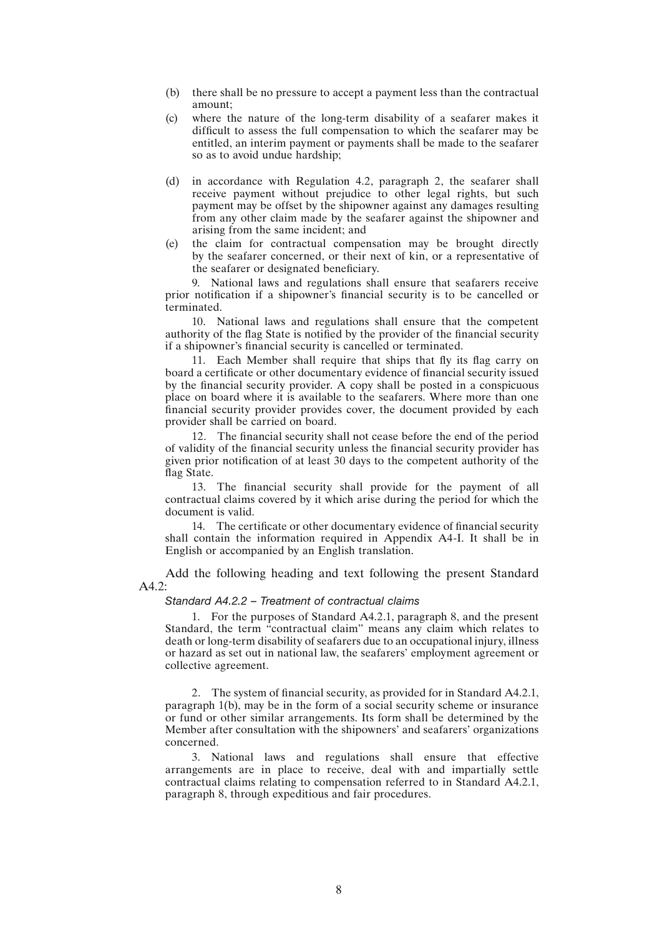- (b) there shall be no pressure to accept a payment less than the contractual amount;
- (c) where the nature of the long-term disability of a seafarer makes it difficult to assess the full compensation to which the seafarer may be entitled, an interim payment or payments shall be made to the seafarer so as to avoid undue hardship;
- (d) in accordance with Regulation 4.2, paragraph 2, the seafarer shall receive payment without prejudice to other legal rights, but such payment may be offset by the shipowner against any damages resulting from any other claim made by the seafarer against the shipowner and arising from the same incident; and
- (e) the claim for contractual compensation may be brought directly by the seafarer concerned, or their next of kin, or a representative of the seafarer or designated beneficiary.

9. National laws and regulations shall ensure that seafarers receive prior notification if a shipowner's financial security is to be cancelled or terminated.

10. National laws and regulations shall ensure that the competent authority of the flag State is notified by the provider of the financial security if a shipowner's financial security is cancelled or terminated.

11. Each Member shall require that ships that fly its flag carry on board a certificate or other documentary evidence of financial security issued by the financial security provider. A copy shall be posted in a conspicuous place on board where it is available to the seafarers. Where more than one financial security provider provides cover, the document provided by each provider shall be carried on board.

12. The financial security shall not cease before the end of the period of validity of the financial security unless the financial security provider has given prior notification of at least 30 days to the competent authority of the flag State.

13. The financial security shall provide for the payment of all contractual claims covered by it which arise during the period for which the document is valid.

14. The certificate or other documentary evidence of financial security shall contain the information required in Appendix A4-I. It shall be in English or accompanied by an English translation.

Add the following heading and text following the present Standard A4.2:

#### *Standard A4.2.2 – Treatment of contractual claims*

1. For the purposes of Standard A4.2.1, paragraph 8, and the present Standard, the term "contractual claim" means any claim which relates to death or long-term disability of seafarers due to an occupational injury, illness or hazard as set out in national law, the seafarers' employment agreement or collective agreement.

2. The system of financial security, as provided for in Standard A4.2.1, paragraph 1(b), may be in the form of a social security scheme or insurance or fund or other similar arrangements. Its form shall be determined by the Member after consultation with the shipowners' and seafarers' organizations concerned.

3. National laws and regulations shall ensure that effective arrangements are in place to receive, deal with and impartially settle contractual claims relating to compensation referred to in Standard A4.2.1, paragraph 8, through expeditious and fair procedures.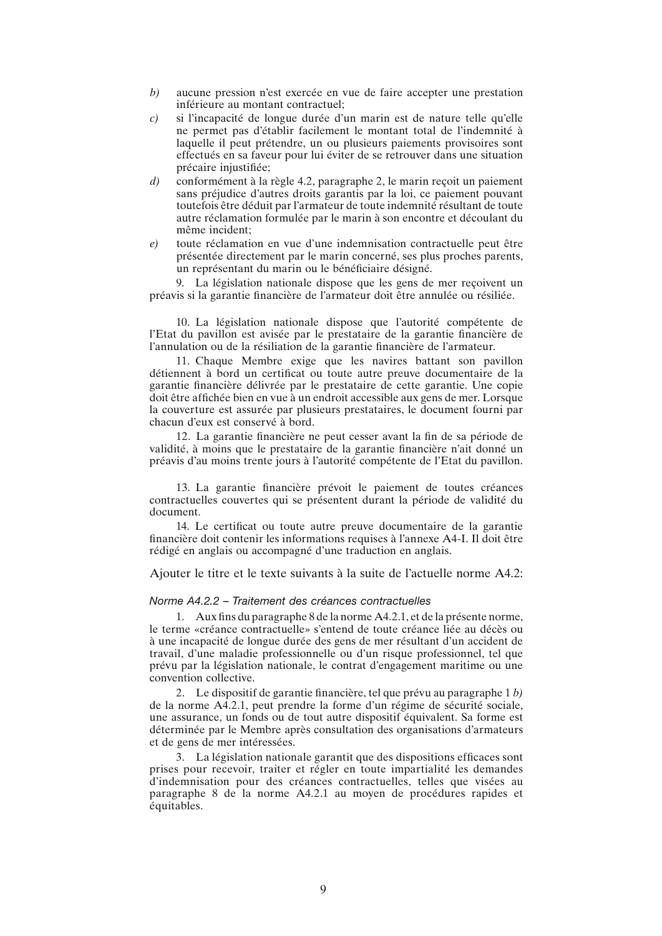- *b)* aucune pression n'est exercée en vue de faire accepter une prestation inférieure au montant contractuel;
- *c)* si l'incapacité de longue durée d'un marin est de nature telle qu'elle ne permet pas d'établir facilement le montant total de l'indemnité à laquelle il peut prétendre, un ou plusieurs paiements provisoires sont effectués en sa faveur pour lui éviter de se retrouver dans une situation précaire injustifiée;
- *d)* conformément à la règle 4.2, paragraphe 2, le marin reçoit un paiement sans préjudice d'autres droits garantis par la loi, ce paiement pouvant toutefois être déduit par l'armateur de toute indemnité résultant de toute autre réclamation formulée par le marin à son encontre et découlant du même incident;
- *e)* toute réclamation en vue d'une indemnisation contractuelle peut être présentée directement par le marin concerné, ses plus proches parents, un représentant du marin ou le bénéficiaire désigné.

9. La législation nationale dispose que les gens de mer reçoivent un préavis si la garantie financière de l'armateur doit être annulée ou résiliée.

10. La législation nationale dispose que l'autorité compétente de l'Etat du pavillon est avisée par le prestataire de la garantie financière de l'annulation ou de la résiliation de la garantie financière de l'armateur.

11. Chaque Membre exige que les navires battant son pavillon détiennent à bord un certificat ou toute autre preuve documentaire de la garantie financière délivrée par le prestataire de cette garantie. Une copie doit être affichée bien en vue à un endroit accessible aux gens de mer. Lorsque la couverture est assurée par plusieurs prestataires, le document fourni par chacun d'eux est conservé à bord.

12. La garantie financière ne peut cesser avant la fin de sa période de validité, à moins que le prestataire de la garantie financière n'ait donné un préavis d'au moins trente jours à l'autorité compétente de l'Etat du pavillon.

13. La garantie financière prévoit le paiement de toutes créances contractuelles couvertes qui se présentent durant la période de validité du document.

14. Le certificat ou toute autre preuve documentaire de la garantie financière doit contenir les informations requises à l'annexe A4-I. Il doit être rédigé en anglais ou accompagné d'une traduction en anglais.

Ajouter le titre et le texte suivants à la suite de l'actuelle norme A4.2:

#### *Norme A4.2.2 – Traitement des créances contractuelles*

1. Aux fins du paragraphe 8 de la norme A4.2.1, et de la présente norme, le terme «créance contractuelle» s'entend de toute créance liée au décès ou à une incapacité de longue durée des gens de mer résultant d'un accident de travail, d'une maladie professionnelle ou d'un risque professionnel, tel que prévu par la législation nationale, le contrat d'engagement maritime ou une convention collective.

2. Le dispositif de garantie financière, tel que prévu au paragraphe 1 *b)* de la norme A4.2.1, peut prendre la forme d'un régime de sécurité sociale, une assurance, un fonds ou de tout autre dispositif équivalent. Sa forme est déterminée par le Membre après consultation des organisations d'armateurs et de gens de mer intéressées.

3. La législation nationale garantit que des dispositions efficaces sont prises pour recevoir, traiter et régler en toute impartialité les demandes d'indemnisation pour des créances contractuelles, telles que visées au paragraphe 8 de la norme A4.2.1 au moyen de procédures rapides et équitables.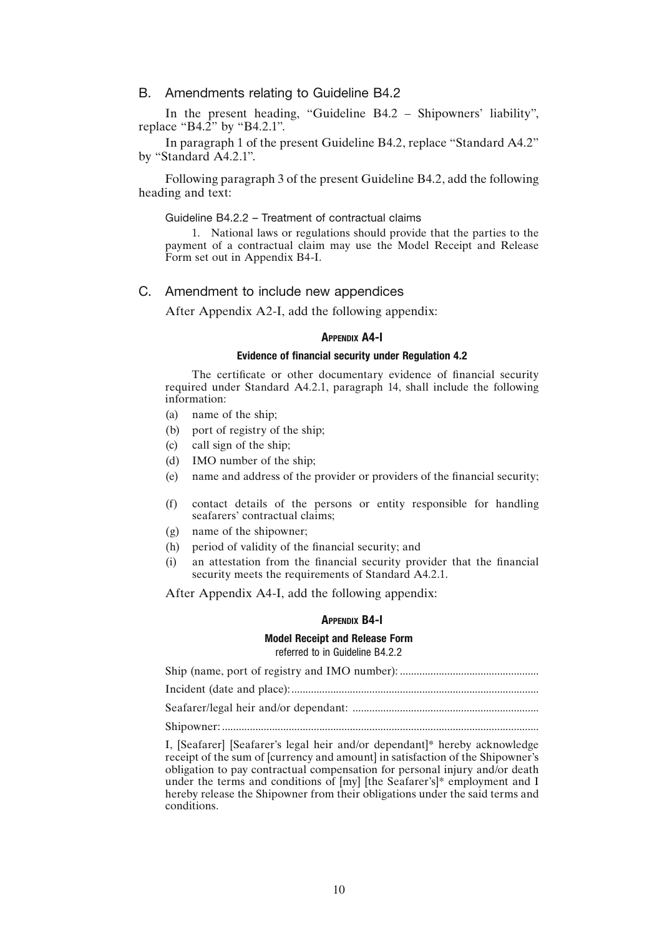### B. Amendments relating to Guideline B4.2

In the present heading, "Guideline B4.2 – Shipowners' liability", replace "B4.2" by "B4.2.1".

In paragraph 1 of the present Guideline B4.2, replace "Standard A4.2" by "Standard A4.2.1".

Following paragraph 3 of the present Guideline B4.2, add the following heading and text:

#### Guideline B4.2.2 – Treatment of contractual claims

1. National laws or regulations should provide that the parties to the payment of a contractual claim may use the Model Receipt and Release Form set out in Appendix B4-I.

#### C. Amendment to include new appendices

After Appendix A2-I, add the following appendix:

#### **APPENDIX A4-I**

#### Evidence of financial security under Regulation 4.2

The certificate or other documentary evidence of financial security required under Standard A4.2.1, paragraph 14, shall include the following information:

- (a) name of the ship;
- (b) port of registry of the ship;
- (c) call sign of the ship;
- (d) IMO number of the ship;
- (e) name and address of the provider or providers of the financial security;
- (f) contact details of the persons or entity responsible for handling seafarers' contractual claims;
- (g) name of the shipowner;
- (h) period of validity of the financial security; and
- (i) an attestation from the financial security provider that the financial security meets the requirements of Standard A4.2.1.

After Appendix A4-I, add the following appendix:

#### Appendix B4-I

#### Model Receipt and Release Form referred to in Guideline B4.2.2

Ship (name, port of registry and IMO number): .................................................. Incident (date and place):......................................................................................... Seafarer/legal heir and/or dependant: ................................................................... Shipowner: ..................................................................................................................

I, [Seafarer] [Seafarer's legal heir and/or dependant]\* hereby acknowledge receipt of the sum of [currency and amount] in satisfaction of the Shipowner's obligation to pay contractual compensation for personal injury and/or death under the terms and conditions of [my] [the Seafarer's]\* employment and I hereby release the Shipowner from their obligations under the said terms and conditions.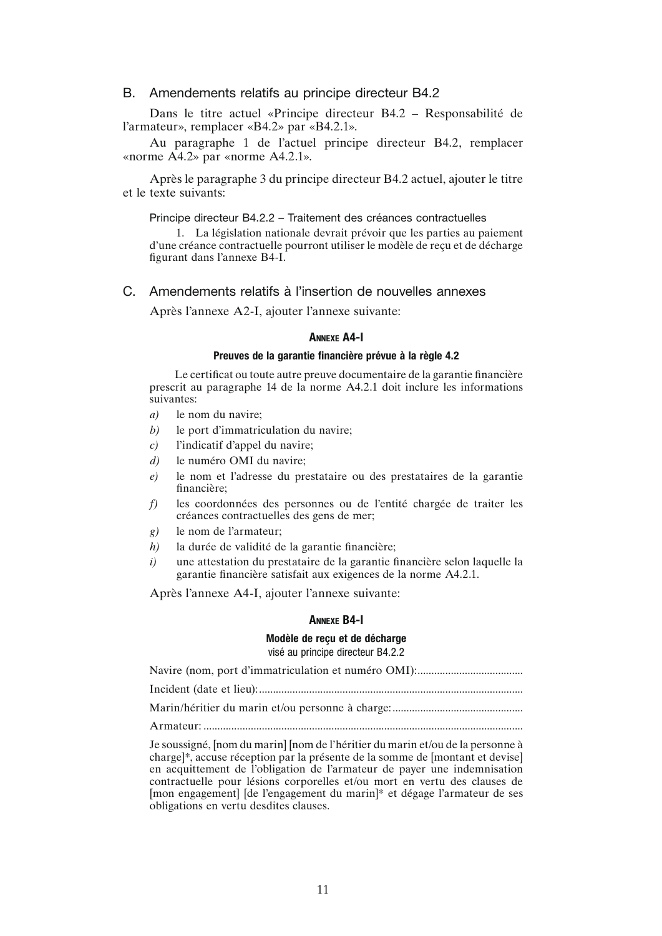#### B. Amendements relatifs au principe directeur B4.2

Dans le titre actuel «Principe directeur B4.2 – Responsabilité de l'armateur», remplacer «B4.2» par «B4.2.1».

Au paragraphe 1 de l'actuel principe directeur B4.2, remplacer «norme A4.2» par «norme A4.2.1».

Après le paragraphe 3 du principe directeur B4.2 actuel, ajouter le titre et le texte suivants:

#### Principe directeur B4.2.2 – Traitement des créances contractuelles

1. La législation nationale devrait prévoir que les parties au paiement d'une créance contractuelle pourront utiliser le modèle de reçu et de décharge figurant dans l'annexe B4-I.

#### C. Amendements relatifs à l'insertion de nouvelles annexes

Après l'annexe A2-I, ajouter l'annexe suivante:

### Annexe A4-I

#### Preuves de la garantie financière prévue à la règle 4.2

Le certificat ou toute autre preuve documentaire de la garantie financière prescrit au paragraphe 14 de la norme A4.2.1 doit inclure les informations suivantes:

- *a)* le nom du navire;
- *b)* le port d'immatriculation du navire;
- *c)* l'indicatif d'appel du navire;
- *d)* le numéro OMI du navire;
- *e)* le nom et l'adresse du prestataire ou des prestataires de la garantie financière;
- *f)* les coordonnées des personnes ou de l'entité chargée de traiter les créances contractuelles des gens de mer;
- *g)* le nom de l'armateur;
- *h)* la durée de validité de la garantie financière;
- *i)* une attestation du prestataire de la garantie financière selon laquelle la garantie financière satisfait aux exigences de la norme A4.2.1.

Après l'annexe A4-I, ajouter l'annexe suivante:

#### Annexe B4-I

#### Modèle de reçu et de décharge visé au principe directeur B4.2.2

Navire (nom, port d'immatriculation et numéro OMI):...................................... Incident (date et lieu):............................................................................................... Marin/héritier du marin et/ou personne à charge:............................................... A rmateur: Je soussigné, [nom du marin] [nom de l'héritier du marin et/ou de la personne à

charge]\*, accuse réception par la présente de la somme de [montant et devise] en acquittement de l'obligation de l'armateur de payer une indemnisation contractuelle pour lésions corporelles et/ou mort en vertu des clauses de [mon engagement] [de l'engagement du marin]\* et dégage l'armateur de ses obligations en vertu desdites clauses.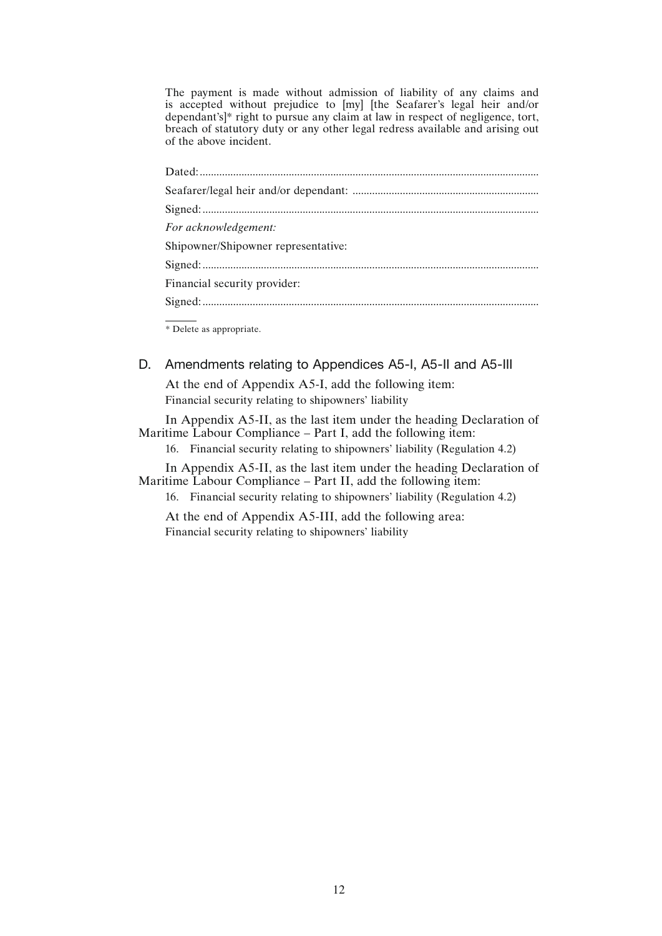The payment is made without admission of liability of any claims and is accepted without prejudice to [my] [the Seafarer's legal heir and/or dependant's]\* right to pursue any claim at law in respect of negligence, tort, breach of statutory duty or any other legal redress available and arising out of the above incident.

| For acknowledgement:                |
|-------------------------------------|
| Shipowner/Shipowner representative: |
|                                     |
| Financial security provider:        |
|                                     |
|                                     |

\* Delete as appropriate.

D. Amendments relating to Appendices A5-I, A5-II and A5-III

At the end of Appendix A5-I, add the following item: Financial security relating to shipowners' liability

In Appendix A5-II, as the last item under the heading Declaration of Maritime Labour Compliance – Part I, add the following item:

16. Financial security relating to shipowners' liability (Regulation 4.2)

In Appendix A5-II, as the last item under the heading Declaration of Maritime Labour Compliance – Part II, add the following item:

16. Financial security relating to shipowners' liability (Regulation 4.2)

At the end of Appendix A5-III, add the following area: Financial security relating to shipowners' liability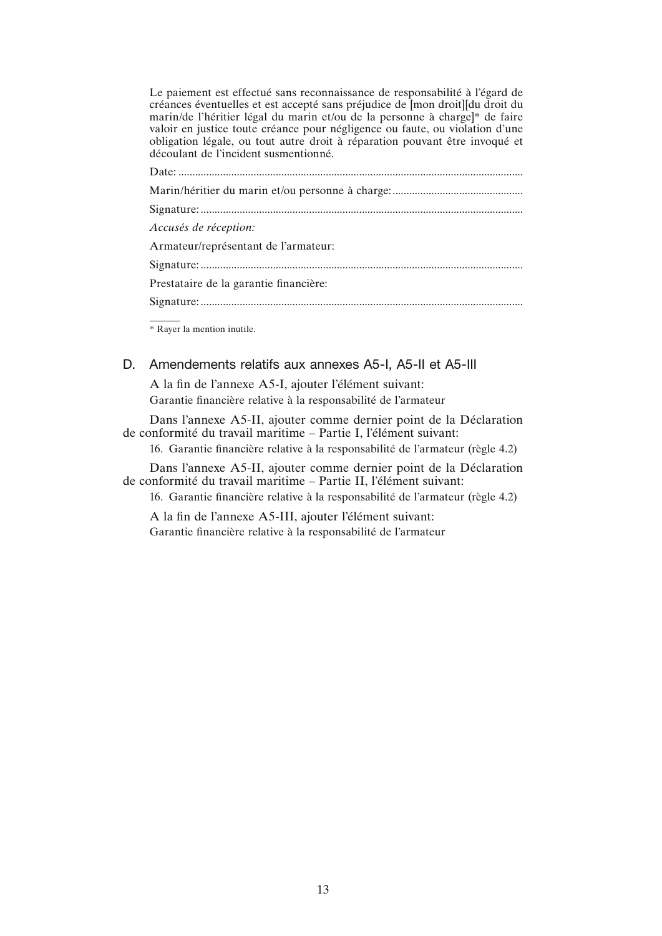Le paiement est effectué sans reconnaissance de responsabilité à l'égard de créances éventuelles et est accepté sans préjudice de [mon droit][du droit du marin/de l'héritier légal du marin et/ou de la personne à charge]\* de faire valoir en justice toute créance pour négligence ou faute, ou violation d'une obligation légale, ou tout autre droit à réparation pouvant être invoqué et découlant de l'incident susmentionné.

| Accusés de réception:                  |
|----------------------------------------|
| Armateur/représentant de l'armateur:   |
|                                        |
| Prestataire de la garantie financière: |
|                                        |
|                                        |

\* Rayer la mention inutile.

# D. Amendements relatifs aux annexes A5-I, A5-II et A5-III

A la fin de l'annexe A5-I, ajouter l'élément suivant: Garantie financière relative à la responsabilité de l'armateur

Dans l'annexe A5-II, ajouter comme dernier point de la Déclaration de conformité du travail maritime – Partie I, l'élément suivant:

16. Garantie financière relative à la responsabilité de l'armateur (règle 4.2)

Dans l'annexe A5-II, ajouter comme dernier point de la Déclaration de conformité du travail maritime – Partie II, l'élément suivant:

16. Garantie financière relative à la responsabilité de l'armateur (règle 4.2)

A la fin de l'annexe A5-III, ajouter l'élément suivant: Garantie financière relative à la responsabilité de l'armateur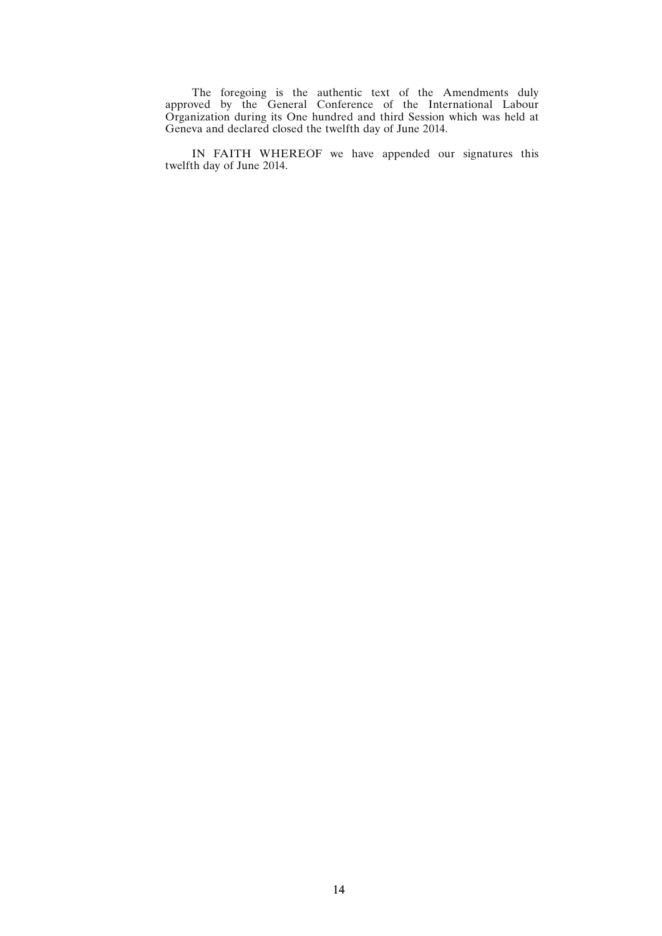The foregoing is the authentic text of the Amendments duly approved by the General Conference of the International Labour Organization during its One hundred and third Session which was held at Geneva and declared closed the twelfth day of June 2014.

IN FAITH WHEREOF we have appended our signatures this twelfth day of June 2014.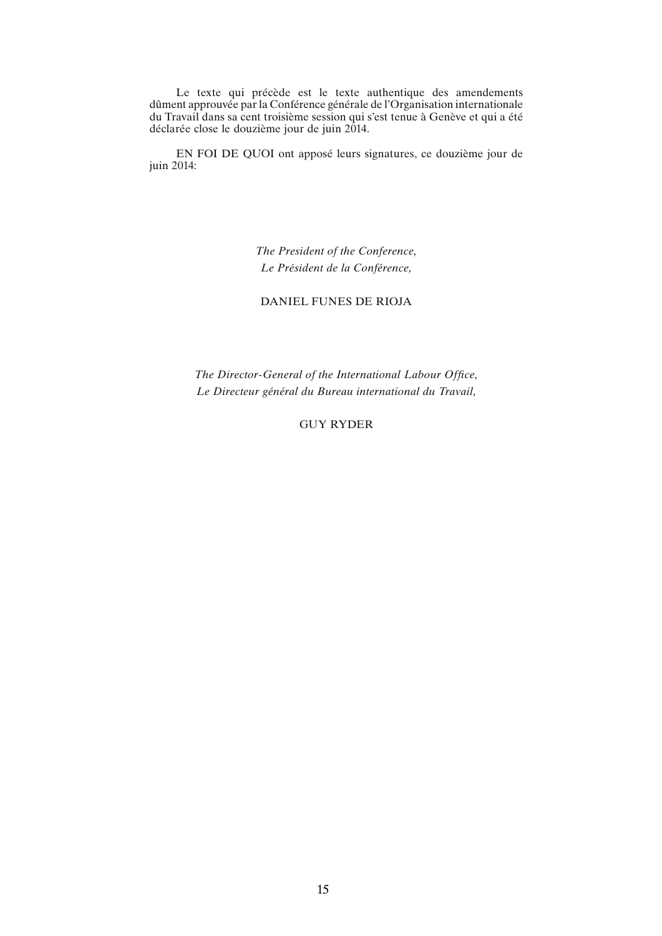Le texte qui précède est le texte authentique des amendements dûment approuvée par la Conférence générale de l'Organisation internationale du Travail dans sa cent troisième session qui s'est tenue à Genève et qui a été déclarée close le douzième jour de juin 2014.

EN FOI DE QUOI ont apposé leurs signatures, ce douzième jour de juin 2014:

> *The President of the Conference, Le Président de la Conférence,*

DANIEL FUNES DE RIOJA

*The Director-General of the International Labour Office, Le Directeur général du Bureau international du Travail,*

GUY RYDER